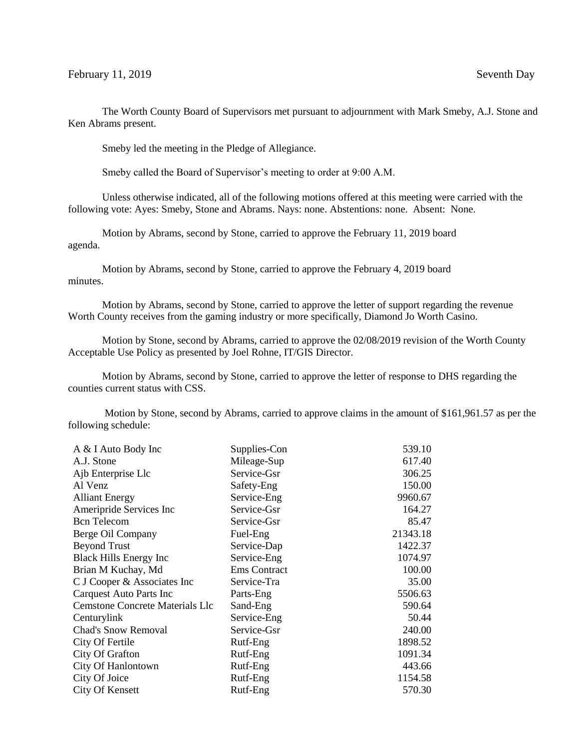The Worth County Board of Supervisors met pursuant to adjournment with Mark Smeby, A.J. Stone and Ken Abrams present.

Smeby led the meeting in the Pledge of Allegiance.

Smeby called the Board of Supervisor's meeting to order at 9:00 A.M.

Unless otherwise indicated, all of the following motions offered at this meeting were carried with the following vote: Ayes: Smeby, Stone and Abrams. Nays: none. Abstentions: none. Absent: None.

Motion by Abrams, second by Stone, carried to approve the February 11, 2019 board agenda.

Motion by Abrams, second by Stone, carried to approve the February 4, 2019 board minutes.

Motion by Abrams, second by Stone, carried to approve the letter of support regarding the revenue Worth County receives from the gaming industry or more specifically, Diamond Jo Worth Casino.

Motion by Stone, second by Abrams, carried to approve the 02/08/2019 revision of the Worth County Acceptable Use Policy as presented by Joel Rohne, IT/GIS Director.

Motion by Abrams, second by Stone, carried to approve the letter of response to DHS regarding the counties current status with CSS.

Motion by Stone, second by Abrams, carried to approve claims in the amount of \$161,961.57 as per the following schedule:

| A & I Auto Body Inc                    | Supplies-Con        | 539.10   |
|----------------------------------------|---------------------|----------|
| A.J. Stone                             | Mileage-Sup         | 617.40   |
| Ajb Enterprise Llc                     | Service-Gsr         | 306.25   |
| Al Venz                                | Safety-Eng          | 150.00   |
| <b>Alliant Energy</b>                  | Service-Eng         | 9960.67  |
| Ameripride Services Inc                | Service-Gsr         | 164.27   |
| <b>Bcn</b> Telecom                     | Service-Gsr         | 85.47    |
| Berge Oil Company                      | Fuel-Eng            | 21343.18 |
| <b>Beyond Trust</b>                    | Service-Dap         | 1422.37  |
| <b>Black Hills Energy Inc</b>          | Service-Eng         | 1074.97  |
| Brian M Kuchay, Md                     | <b>Ems</b> Contract | 100.00   |
| C J Cooper & Associates Inc            | Service-Tra         | 35.00    |
| Carquest Auto Parts Inc                | Parts-Eng           | 5506.63  |
| <b>Cemstone Concrete Materials Llc</b> | Sand-Eng            | 590.64   |
| Centurylink                            | Service-Eng         | 50.44    |
| <b>Chad's Snow Removal</b>             | Service-Gsr         | 240.00   |
| City Of Fertile                        | Rutf-Eng            | 1898.52  |
| City Of Grafton                        | Rutf-Eng            | 1091.34  |
| City Of Hanlontown                     | Rutf-Eng            | 443.66   |
| City Of Joice                          | Rutf-Eng            | 1154.58  |
| <b>City Of Kensett</b>                 | Rutf-Eng            | 570.30   |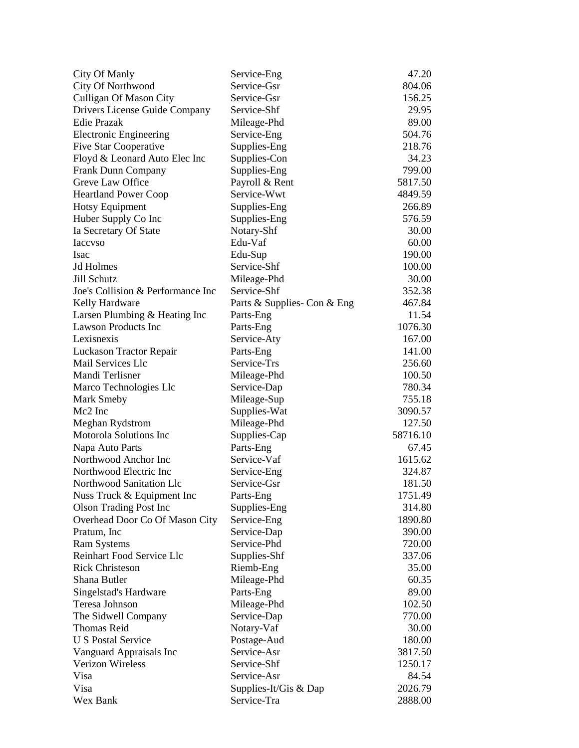| City Of Manly                     | Service-Eng                 | 47.20    |
|-----------------------------------|-----------------------------|----------|
| City Of Northwood                 | Service-Gsr                 | 804.06   |
| Culligan Of Mason City            | Service-Gsr                 | 156.25   |
| Drivers License Guide Company     | Service-Shf                 | 29.95    |
| Edie Prazak                       | Mileage-Phd                 | 89.00    |
| <b>Electronic Engineering</b>     | Service-Eng                 | 504.76   |
| <b>Five Star Cooperative</b>      | Supplies-Eng                | 218.76   |
| Floyd & Leonard Auto Elec Inc     | Supplies-Con                | 34.23    |
| <b>Frank Dunn Company</b>         | Supplies-Eng                | 799.00   |
| Greve Law Office                  | Payroll & Rent              | 5817.50  |
| <b>Heartland Power Coop</b>       | Service-Wwt                 | 4849.59  |
| Hotsy Equipment                   | Supplies-Eng                | 266.89   |
| Huber Supply Co Inc               | Supplies-Eng                | 576.59   |
| Ia Secretary Of State             | Notary-Shf                  | 30.00    |
| <b>Iaccyso</b>                    | Edu-Vaf                     | 60.00    |
| Isac                              | Edu-Sup                     | 190.00   |
| <b>Jd Holmes</b>                  | Service-Shf                 | 100.00   |
| Jill Schutz                       | Mileage-Phd                 | 30.00    |
| Joe's Collision & Performance Inc | Service-Shf                 | 352.38   |
| Kelly Hardware                    | Parts & Supplies- Con & Eng | 467.84   |
| Larsen Plumbing & Heating Inc     | Parts-Eng                   | 11.54    |
| <b>Lawson Products Inc</b>        | Parts-Eng                   | 1076.30  |
| Lexisnexis                        | Service-Aty                 | 167.00   |
| Luckason Tractor Repair           | Parts-Eng                   | 141.00   |
| Mail Services Llc                 | Service-Trs                 | 256.60   |
| Mandi Terlisner                   | Mileage-Phd                 | 100.50   |
| Marco Technologies Llc            | Service-Dap                 | 780.34   |
| Mark Smeby                        | Mileage-Sup                 | 755.18   |
| Mc2 Inc                           | Supplies-Wat                | 3090.57  |
| Meghan Rydstrom                   | Mileage-Phd                 | 127.50   |
| Motorola Solutions Inc            | Supplies-Cap                | 58716.10 |
| Napa Auto Parts                   | Parts-Eng                   | 67.45    |
| Northwood Anchor Inc              | Service-Vaf                 | 1615.62  |
| Northwood Electric Inc            | Service-Eng                 | 324.87   |
| Northwood Sanitation Llc          | Service-Gsr                 | 181.50   |
| Nuss Truck & Equipment Inc        | Parts-Eng                   | 1751.49  |
| <b>Olson Trading Post Inc</b>     | Supplies-Eng                | 314.80   |
| Overhead Door Co Of Mason City    | Service-Eng                 | 1890.80  |
| Pratum, Inc                       | Service-Dap                 | 390.00   |
| <b>Ram Systems</b>                | Service-Phd                 | 720.00   |
| Reinhart Food Service Llc         | Supplies-Shf                | 337.06   |
| <b>Rick Christeson</b>            | Riemb-Eng                   | 35.00    |
| Shana Butler                      | Mileage-Phd                 | 60.35    |
| Singelstad's Hardware             | Parts-Eng                   | 89.00    |
| Teresa Johnson                    | Mileage-Phd                 | 102.50   |
| The Sidwell Company               | Service-Dap                 | 770.00   |
| Thomas Reid                       | Notary-Vaf                  | 30.00    |
| <b>U S Postal Service</b>         | Postage-Aud                 | 180.00   |
| Vanguard Appraisals Inc           | Service-Asr                 | 3817.50  |
| <b>Verizon Wireless</b>           | Service-Shf                 | 1250.17  |
| Visa                              | Service-Asr                 | 84.54    |
| Visa                              | Supplies-It/Gis & Dap       | 2026.79  |
| Wex Bank                          | Service-Tra                 | 2888.00  |
|                                   |                             |          |